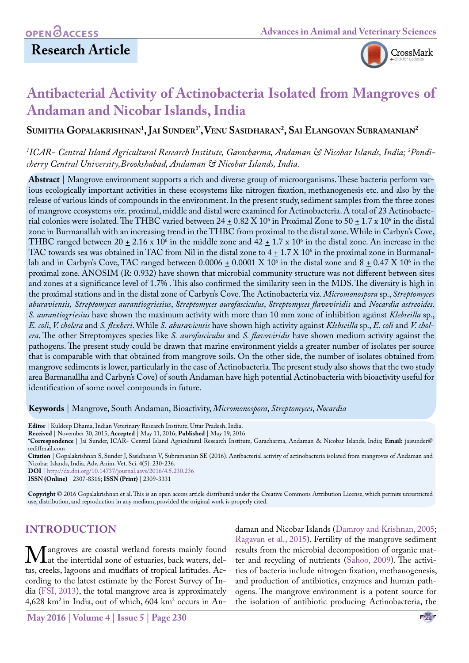## **Research Article**



## **Antibacterial Activity of Actinobacteria Isolated from Mangroves of Andaman and Nicobar Islands, India**

**Sumitha Gopalakrishnan1 , Jai Sunder1\*,Venu Sasidharan2 , Sai Elangovan Subramanian2**

#### *1 ICAR- Central Island Agricultural Research Institute, Garacharma, Andaman & Nicobar Islands, India; 2 Pondicherry Central University,Brookshabad, Andaman & Nicobar Islands, India.*

**Abstract** | Mangrove environment supports a rich and diverse group of microorganisms. These bacteria perform various ecologically important activities in these ecosystems like nitrogen fixation, methanogenesis etc. and also by the release of various kinds of compounds in the environment. In the present study, sediment samples from the three zones of mangrove ecosystems *viz.* proximal, middle and distal were examined for Actinobacteria. A total of 23 Actinobacterial colonies were isolated. The THBC varied between 24  $\pm$  0.82 X 10° in Proximal Zone to 50  $\pm$  1.7 x 10° in the distal zone in Burmanallah with an increasing trend in the THBC from proximal to the distal zone. While in Carbyn's Cove, THBC ranged between 20  $\pm$  2.16 x 10<sup>6</sup> in the middle zone and 42  $\pm$  1.7 x 10<sup>6</sup> in the distal zone. An increase in the TAC towards sea was obtained in TAC from Nil in the distal zone to 4  $\pm$  1.7 X 10<sup>6</sup> in the proximal zone in Burmanallah and in Carbyn's Cove, TAC ranged between 0.0006  $\pm$  0.0001 X 10° in the distal zone and 8  $\pm$  0.47 X 10° in the proximal zone. ANOSIM (R: 0.932) have shown that microbial community structure was not different between sites and zones at a significance level of 1.7% . This also confirmed the similarity seen in the MDS. The diversity is high in the proximal stations and in the distal zone of Carbyn's Cove. The Actinobacteria viz. *Micromonospora* sp., *Streptomyces aburaviensis, Streptomyces aurantiogriesius*, *Streptomyces aurofasciculus*, *Streptomyces flavoviridis* and *Nocardia astreoides*. *S. aurantiogriesius* have shown the maximum activity with more than 10 mm zone of inhibition against *Klebseilla* sp., *E. coli*, *V. cholera* and *S. flexheri*. While *S. aburaviensis* have shown high activity against *Klebseilla* sp., *E. coli* and *V. cholera*. The other Streptomyces species like *S. aurofasciculus* and *S. flavoviridis* have shown medium activity against the pathogens. The present study could be drawn that marine environment yields a greater number of isolates per source that is comparable with that obtained from mangrove soils. On the other side, the number of isolates obtained from mangrove sediments is lower, particularly in the case of Actinobacteria. The present study also shows that the two study area Barmanallha and Carbyn's Cove) of south Andaman have high potential Actinobacteria with bioactivity useful for identification of some novel compounds in future.

**Keywords** | Mangrove, South Andaman, Bioactivity, *Micromonospora*, *Streptomyces*, *Nocardia*

**Citation** | Gopalakrishnan S, Sunder J, Sasidharan V, Subramanian SE (2016). Antibacterial activity of actinobacteria isolated from mangroves of Andaman and Nicobar Islands, India. Adv. Anim. Vet. Sci. 4(5): 230-236.

**DOI** | <http://dx.doi.org/10.14737/journal.aavs/2016/4.5.230.236>

**ISSN (Online)** | 2307-8316; **ISSN (Print)** | 2309-3331

**Copyright** © 2016 Gopalakrishnan et al. This is an open access article distributed under the Creative Commons Attribution License, which permits unrestricted use, distribution, and reproduction in any medium, provided the original work is properly cited.

## **INTRODUCTION**

**M** angroves are coastal wetland forests mainly found<br>tas creeks lagoons and mudflats of tropical latitudes Actas, creeks, lagoons and mudflats of tropical latitudes. According to the latest estimate by the Forest Survey of India [\(FSI, 2013\)](#page-5-0), the total mangrove area is approximately 4,628 km2 in India, out of which, 604 km2 occurs in Andaman and Nicobar Islands (Damroy and Krishnan, 2005; [Ragavan et al., 2015](#page-6-0)). Fertility of the mangrove sediment results from the microbial decomposition of organic matter and recycling of nutrients [\(Sahoo, 2009](#page-6-1)). The activities of bacteria include nitrogen fixation, methanogenesis, and production of antibiotics, enzymes and human pathogens. The mangrove environment is a potent source for the isolation of antibiotic producing Actinobacteria, the

**Editor** | Kuldeep Dhama, Indian Veterinary Research Institute, Uttar Pradesh, India.

**Received** | November 30, 2015; **Accepted** | May 11, 2016; **Published** | May 19, 2016

**<sup>\*</sup>Correspondence** | Jai Sunder, ICAR- Central Island Agricultural Research Institute, Garacharma, Andaman & Nicobar Islands, India; **Email:** [jaisunder@](mailto:jaisunder@rediffmail.com) [rediffmail.com](mailto:jaisunder@rediffmail.com)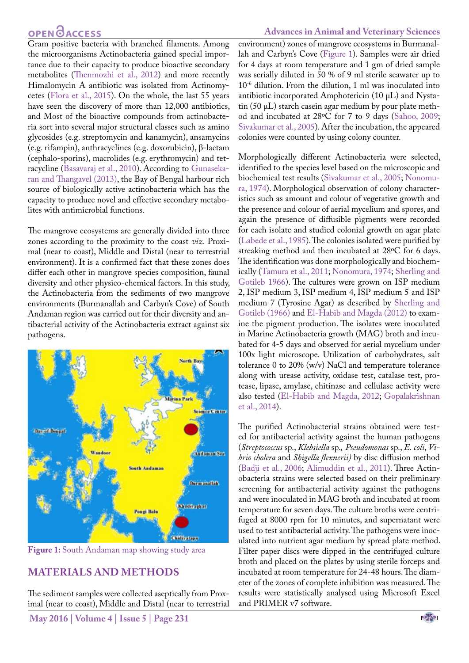## **OPEN**<sub>d</sub>

Gram positive bacteria with branched filaments. Among the microorganisms Actinobacteria gained special importance due to their capacity to produce bioactive secondary metabolites [\(Thenmozhi et al., 2012\)](#page-6-2) and more recently Himalomycin A antibiotic was isolated from Actinomycetes ([Flora et al., 2015](#page-5-1)). On the whole, the last 55 years have seen the discovery of more than 12,000 antibiotics, and Most of the bioactive compounds from actinobacteria sort into several major structural classes such as amino glycosides (e.g. streptomycin and kanamycin), ansamycins (e.g. rifampin), anthracyclines (e.g. doxorubicin), β-lactam (cephalo-sporins), macrolides (e.g. erythromycin) and tetracycline ([Basavaraj et al., 2010](#page-5-2)). According to [Gunaseka](#page-5-3)[ran and Thangavel \(2013\),](#page-5-3) the Bay of Bengal harbour rich source of biologically active actinobacteria which has the capacity to produce novel and effective secondary metabolites with antimicrobial functions.

The mangrove ecosystems are generally divided into three zones according to the proximity to the coast *viz.* Proximal (near to coast), Middle and Distal (near to terrestrial environment). It is a confirmed fact that these zones does differ each other in mangrove species composition, faunal diversity and other physico-chemical factors. In this study, the Actinobacteria from the sediments of two mangrove environments (Burmanallah and Carbyn's Cove) of South Andaman region was carried out for their diversity and antibacterial activity of the Actinobacteria extract against six pathogens.



**Figure 1:** South Andaman map showing study area

#### <span id="page-1-0"></span>**MATERIALS AND METHODS**

The sediment samples were collected aseptically from Proximal (near to coast), Middle and Distal (near to terrestrial environment) zones of mangrove ecosystems in Burmanallah and Carbyn's Cove [\(Figure 1\)](#page-1-0). Samples were air dried for 4 days at room temperature and 1 gm of dried sample was serially diluted in 50 % of 9 ml sterile seawater up to 10-6 dilution. From the dilution, 1 ml was inoculated into antibiotic incorporated Amphotericin (10 µL) and Nystatin  $(50 \mu L)$  starch casein agar medium by pour plate method and incubated at 28ºC for 7 to 9 days ([Sahoo, 2009](#page-6-1); [Sivakumar et al., 2005\)](#page-6-3). After the incubation, the appeared colonies were counted by using colony counter.

Morphologically different Actinobacteria were selected, identified to the species level based on the microscopic and biochemical test results [\(Sivakumar et al., 2005](#page-6-3); [Nonomu](#page-6-4)[ra, 1974](#page-6-4)). Morphological observation of colony characteristics such as amount and colour of vegetative growth and the presence and colour of aerial mycelium and spores, and again the presence of diffusible pigments were recorded for each isolate and studied colonial growth on agar plate [\(Labede et al., 1985](#page-5-4)). The colonies isolated were purified by streaking method and then incubated at 28ºC for 6 days. The identification was done morphologically and biochemically ([Tamura et al., 2011;](#page-6-5) [Nonomura, 1974;](#page-6-4) [Sherling and](#page-6-6)  [Gotileb 1966](#page-6-6)). The cultures were grown on ISP medium 2, ISP medium 3, ISP medium 4, ISP medium 5 and ISP medium 7 (Tyrosine Agar) as described by [Sherling and](#page-6-6)  [Gotileb \(1966\)](#page-6-6) and [El-Habib and Magda \(2012\)](#page-5-5) to examine the pigment production. The isolates were inoculated in Marine Actinobacteria growth (MAG) broth and incubated for 4-5 days and observed for aerial mycelium under 100x light microscope. Utilization of carbohydrates, salt tolerance 0 to 20% (w/v) NaCl and temperature tolerance along with urease activity, oxidase test, catalase test, protease, lipase, amylase, chitinase and cellulase activity were also tested [\(El-Habib and Magda, 2012;](#page-5-5) [Gopalakrishnan](#page-5-6)  [et al., 2014\)](#page-5-6).

The purified Actinobacterial strains obtained were tested for antibacterial activity against the human pathogens (*Streptococcus* sp., *Klebsiella* sp.*, Pseudomonas* sp., *E. coli*, *Vibrio cholera* and *Shigella flexnerii)* by disc diffusion method [\(Badji et al., 2006](#page-5-7); [Alimuddin et al., 2011\)](#page-5-8). Three Actinobacteria strains were selected based on their preliminary screening for antibacterial activity against the pathogens and were inoculated in MAG broth and incubated at room temperature for seven days. The culture broths were centrifuged at 8000 rpm for 10 minutes, and supernatant were used to test antibacterial activity. The pathogens were inoculated into nutrient agar medium by spread plate method. Filter paper discs were dipped in the centrifuged culture broth and placed on the plates by using sterile forceps and incubated at room temperature for 24-48 hours. The diameter of the zones of complete inhibition was measured. The results were statistically analysed using Microsoft Excel and PRIMER v7 software.

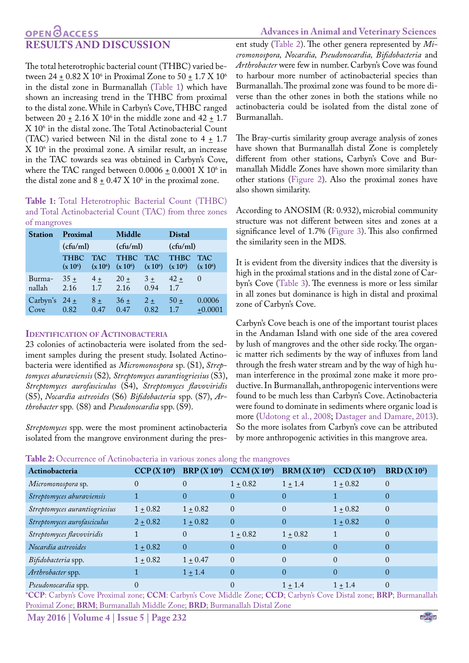# **RESULTS AND DISCUSSION**

The total heterotrophic bacterial count (THBC) varied between 24  $\pm$  0.82 X 10<sup>6</sup> in Proximal Zone to 50  $\pm$  1.7 X 10<sup>6</sup> in the distal zone in Burmanallah ([Table 1](#page-2-0)) which have shown an increasing trend in the THBC from proximal to the distal zone. While in Carbyn's Cove, THBC ranged between 20  $\pm$  2.16 X 10<sup>6</sup> in the middle zone and 42  $\pm$  1.7 X 106 in the distal zone. The Total Actinobacterial Count (TAC) varied between Nil in the distal zone to  $4 \pm 1.7$  $X$   $10<sup>6</sup>$  in the proximal zone. A similar result, an increase in the TAC towards sea was obtained in Carbyn's Cove, where the TAC ranged between  $0.0006 \pm 0.0001 \text{ X } 10^6$  in the distal zone and  $8 \pm 0.47$  X  $10^6$  in the proximal zone.

<span id="page-2-0"></span>**Table 1:** Total Heterotrophic Bacterial Count (THBC) and Total Actinobacterial Count (TAC) from three zones of mangroves

| <b>Station</b>            | Proximal                  |              | <b>Middle</b>  |               | <b>Distal</b>                                                           |                     |
|---------------------------|---------------------------|--------------|----------------|---------------|-------------------------------------------------------------------------|---------------------|
|                           | (cfu/ml)                  |              | (cfu/ml)       |               | (cfu/ml)                                                                |                     |
|                           | <b>THBC</b><br>$(x 10^6)$ | <b>TAC</b>   |                |               | THBC TAC THBC<br>$(x 10^6)$ $(x 10^6)$ $(x 10^6)$ $(x 10^6)$ $(x 10^6)$ | <b>TAC</b>          |
| Burma-<br>nallah          | $35 +$<br>2.16            | $4 +$<br>1.7 | $20 +$<br>2.16 | $3+$<br>0.94  | $42 +$<br>1.7                                                           | $\theta$            |
| Carbyn's $24 \pm$<br>Cove | 0.82                      | $8+$<br>0.47 | $36 +$<br>0.47 | $2 +$<br>0.82 | $50+$<br>1.7                                                            | 0.0006<br>$+0.0001$ |

#### **Identification of Actinobacteria**

23 colonies of actinobacteria were isolated from the sediment samples during the present study. Isolated Actinobacteria were identified as *Micromonospora* sp. (S1), *Streptomyces aburaviensis* (S2)*, Streptomyces aurantiogriesius* (S3), *Streptomyces aurofasciculus* (S4), *Streptomyces flavoviridis*  (S5), *Nocardia astreoides* (S6) *Bifidobacteria* spp. (S7), *Arthrobacter* spp*.* (S8) and *Pseudonocardia* spp. (S9).

*Streptomyces* spp. were the most prominent actinobacteria isolated from the mangrove environment during the pres-

#### **Advances in Animal and Veterinary Sciences**

ent study ([Table 2\)](#page-2-1). The other genera represented by *Micromonospora, Nocardia, Pseudonocardia, Bifidobacteria* and *Arthrobacter* were few in number. Carbyn's Cove was found to harbour more number of actinobacterial species than Burmanallah. The proximal zone was found to be more diverse than the other zones in both the stations while no actinobacteria could be isolated from the distal zone of Burmanallah.

The Bray-curtis similarity group average analysis of zones have shown that Burmanallah distal Zone is completely different from other stations, Carbyn's Cove and Burmanallah Middle Zones have shown more similarity than other stations ([Figure 2\)](#page-3-0). Also the proximal zones have also shown similarity.

According to ANOSIM (R: 0.932), microbial community structure was not different between sites and zones at a significance level of 1.7% [\(Figure 3\)](#page-3-1). This also confirmed the similarity seen in the MDS.

It is evident from the diversity indices that the diversity is high in the proximal stations and in the distal zone of Carbyn's Cove [\(Table 3\)](#page-3-2). The evenness is more or less similar in all zones but dominance is high in distal and proximal zone of Carbyn's Cove.

Carbyn's Cove beach is one of the important tourist places in the Andaman Island with one side of the area covered by lush of mangroves and the other side rocky. The organic matter rich sediments by the way of influxes from land through the fresh water stream and by the way of high human interference in the proximal zone make it more productive. In Burmanallah, anthropogenic interventions were found to be much less than Carbyn's Cove. Actinobacteria were found to dominate in sediments where organic load is more ([Udotong et al., 2008](#page-6-7); [Dastager and Damare, 2013\)](#page-5-9). So the more isolates from Carbyn's cove can be attributed by more anthropogenic activities in this mangrove area.

<span id="page-2-1"></span>

|  | Table 2: Occurrence of Actinobacteria in various zones along the mangroves |  |  |  |  |  |
|--|----------------------------------------------------------------------------|--|--|--|--|--|
|--|----------------------------------------------------------------------------|--|--|--|--|--|

| Actinobacteria                | CCP(X10 <sup>6</sup> ) | <b>BRP</b> $(X 10^6)$ | CCM (X 10 <sup>6</sup> ) | BRM(X10 <sup>6</sup> ) | CCD(X 10 <sup>2</sup> ) | BRD(X10 <sup>2</sup> ) |
|-------------------------------|------------------------|-----------------------|--------------------------|------------------------|-------------------------|------------------------|
| Micromonospora sp.            | $\Omega$               | $\Omega$              | $1 + 0.82$               | $1 \pm 1.4$            | $1 \pm 0.82$            | $\theta$               |
| Streptomyces aburaviensis     |                        | $\Omega$              | $\Omega$                 |                        |                         | $\theta$               |
| Streptomyces aurantiogriesius | $1 \pm 0.82$           | $1 \pm 0.82$          | $\Omega$                 | $\Omega$               | $1 \pm 0.82$            | $\theta$               |
| Streptomyces aurofasciculus   | $2 \pm 0.82$           | $1 \pm 0.82$          | $\Omega$                 | $\Omega$               | $1 + 0.82$              | $\Omega$               |
| Streptomyces flavoviridis     |                        | $\Omega$              | $1 \pm 0.82$             | $1 + 0.82$             |                         | $\theta$               |
| Nocardia astreoides           | $1 + 0.82$             | $\theta$              | $\Omega$                 | $\Omega$               | $\theta$                | $\Omega$               |
| Bifidobacteria spp.           | $1 \pm 0.82$           | $1 \pm 0.47$          | $\Omega$                 | $\Omega$               | $\theta$                | $\Omega$               |
| Arthrobacter spp.             |                        | $1 \pm 1.4$           | $\Omega$                 | $\Omega$               | $\theta$                | $\Omega$               |
| Pseudonocardia spp.           |                        |                       |                          | $1 + 1.4$              | $1 + 1.4$               | $\Omega$               |

\***CCP**: Carbyn's Cove Proximal zone; **CCM**: Carbyn's Cove Middle Zone; **CCD**; Carbyn's Cove Distal zone; **BRP**; Burmanallah Proximal Zone; **BRM**; Burmanallah Middle Zone; **BRD**; Burmanallah Distal Zone

**May 2016 | Volume 4 | Issue 5 | Page 232**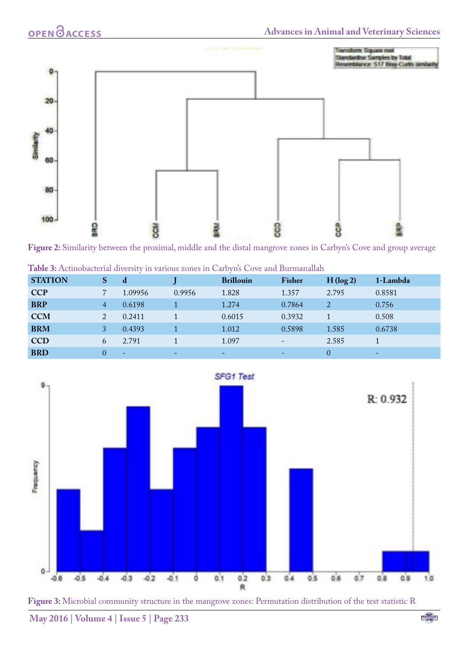

<span id="page-3-0"></span>**Figure 2:** Similarity between the proximal, middle and the distal mangrove zones in Carbyn's Cove and group average



<span id="page-3-2"></span>



<span id="page-3-1"></span>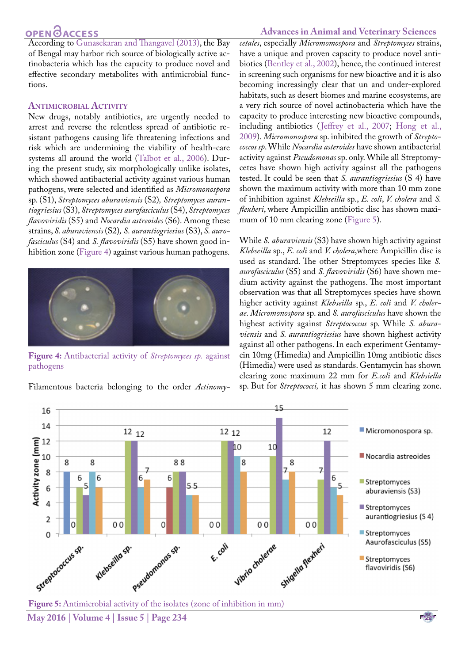## **OPEN**OACCESS

According to [Gunasekaran and Thangavel \(2013\)](#page-5-3), the Bay of Bengal may harbor rich source of biologically active actinobacteria which has the capacity to produce novel and effective secondary metabolites with antimicrobial functions.

#### **Antimicrobial Activity**

New drugs, notably antibiotics, are urgently needed to arrest and reverse the relentless spread of antibiotic resistant pathogens causing life threatening infections and risk which are undermining the viability of health-care systems all around the world [\(Talbot et al., 2006](#page-6-8)). During the present study, six morphologically unlike isolates, which showed antibacterial activity against various human pathogens, were selected and identified as *Micromonospora* sp. (S1), *Streptomyces aburaviensis* (S2)*, Streptomyces aurantiogriesius* (S3), *Streptomyces aurofasciculus* (S4), *Streptomyces flavoviridis* (S5) and *Nocardia astreoides* (S6). Among these strains, *S. aburaviensis* (S2)*, S. aurantiogriesius* (S3), *S. aurofasciculus* (S4) and *S. flavoviridis* (S5) have shown good inhibition zone ([Figure 4\)](#page-4-0) against various human pathogens*.*



**Figure 4:** Antibacterial activity of *Streptomyces sp.* against pathogens

<span id="page-4-0"></span>Filamentous bacteria belonging to the order *Actinomy-*

#### **Advances in Animal and Veterinary Sciences**

*cetales*, especially *Micromomospora* and *Streptomyces* strains, have a unique and proven capacity to produce novel antibiotics (Bentley et al., 2002), hence, the continued interest in screening such organisms for new bioactive and it is also becoming increasingly clear that un and under-explored habitats, such as desert biomes and marine ecosystems, are a very rich source of novel actinobacteria which have the capacity to produce interesting new bioactive compounds, including antibiotics ([Jeffrey et al., 2007;](#page-5-10) [Hong et al.,](#page-5-11)  [2009](#page-5-11)). *Micromonospora* sp. inhibited the growth of *Streptococcos sp*. While *Nocardia asteroides* have shown antibacterial activity against *Pseudomonas* sp. only. While all Streptomycetes have shown high activity against all the pathogens tested. It could be seen that *S. aurantiogriesius* (S 4) have shown the maximum activity with more than 10 mm zone of inhibition against *Klebseilla* sp., *E. coli*, *V. cholera* and *S. flexheri*, where Ampicillin antibiotic disc has shown maxi-mum of 10 mm clearing zone [\(Figure 5](#page-4-1)).

While *S. aburaviensis* (S3) have shown high activity against *Klebseilla* sp., *E. coli* and *V. cholera*,where Ampicillin disc is used as standard. The other Streptomyces species like *S. aurofasciculus* (S5) and *S. flavoviridis* (S6) have shown medium activity against the pathogens. The most important observation was that all Streptomyces species have shown higher activity against *Klebseilla* sp., *E. coli* and *V. cholerae*. *Micromonospora* sp. and *S. aurofasciculus* have shown the highest activity against *Streptococcus* sp. While *S. aburaviensis* and *S. aurantiogriesius* have shown highest activity against all other pathogens. In each experiment Gentamycin 10mg (Himedia) and Ampicillin 10mg antibiotic discs (Himedia) were used as standards. Gentamycin has shown clearing zone maximum 22 mm for *E.coli* and *Klebsiella*  sp. But for *Streptococci,* it has shown 5 mm clearing zone.



<span id="page-4-1"></span>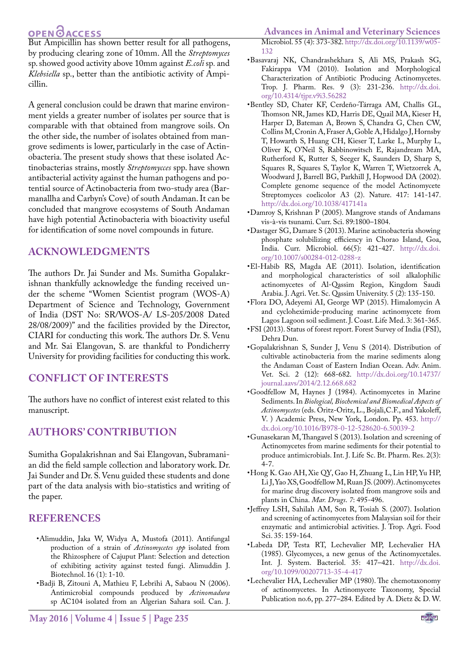## **OPEN**<sub>d</sub>

But Ampicillin has shown better result for all pathogens, by producing clearing zone of 10mm. All the *Streptomyces*  sp. showed good activity above 10mm against *E.coli* sp*.* and *Klebsiella* sp., better than the antibiotic activity of Ampicillin.

A general conclusion could be drawn that marine environment yields a greater number of isolates per source that is comparable with that obtained from mangrove soils. On the other side, the number of isolates obtained from mangrove sediments is lower, particularly in the case of Actinobacteria. The present study shows that these isolated Actinobacterias strains, mostly *Streptomycces* spp. have shown antibacterial activity against the human pathogens and potential source of Actinobacteria from two-study area (Barmanallha and Carbyn's Cove) of south Andaman. It can be concluded that mangrove ecosystems of South Andaman have high potential Actinobacteria with bioactivity useful for identification of some novel compounds in future.

#### **ACKNOWLEDGMENTS**

The authors Dr. Jai Sunder and Ms. Sumitha Gopalakrishnan thankfully acknowledge the funding received under the scheme "Women Scientist program (WOS-A) Department of Science and Technology, Government of India (DST No: SR/WOS-A/ LS-205/2008 Dated 28/08/2009)" and the facilities provided by the Director, CIARI for conducting this work. The authors Dr. S. Venu and Mr. Sai Elangovan, S. are thankful to Pondicherry University for providing facilities for conducting this work.

#### **CONFLICT OF INTERESTS**

The authors have no conflict of interest exist related to this manuscript.

#### **AUTHORS' CONTRIBUTION**

Sumitha Gopalakrishnan and Sai Elangovan, Subramanian did the field sample collection and laboratory work. Dr. Jai Sunder and Dr. S. Venu guided these students and done part of the data analysis with bio-statistics and writing of the paper.

#### **REFERENCES**

- <span id="page-5-8"></span>•Alimuddin, Jaka W, Widya A, Mustofa (2011). Antifungal production of a strain of *Actinomycetes spp* isolated from the Rhizosphere of Cajuput Plant: Selection and detection of exhibiting activity against tested fungi. Alimuddin J. Biotechnol. 16 (1): 1-10.
- <span id="page-5-7"></span>•Badji B, Zitouni A, Mathieu F, Lebrihi A, Sabaou N (2006). Antimicrobial compounds produced by *Actinomadura*  sp AC104 isolated from an Algerian Sahara soil. Can. J.

#### **Advances in Animal and Veterinary Sciences**

Microbiol. 55 (4): 373-382. [http://dx.doi.org/10.1139/w05-](http://dx.doi.org/10.1139/w05-132) [132](http://dx.doi.org/10.1139/w05-132)

- <span id="page-5-2"></span>•Basavaraj NK, Chandrashekhara S, Ali MS, Prakash SG, Fakirappa VM (2010). Isolation and Morphological Characterization of Antibiotic Producing Actinomycetes. Trop. J. Pharm. Res. 9 (3): 231-236. [http://dx.doi.](http://dx.doi.org/10.4314/tjpr.v9i3.56282) [org/10.4314/tjpr.v9i3.56282](http://dx.doi.org/10.4314/tjpr.v9i3.56282)
- •Bentley SD, Chater KF, Cerdeño-Tárraga AM, Challis GL, Thomson NR, James KD, Harris DE, Quail MA, Kieser H, Harper D, Bateman A, Brown S, Chandra G, Chen CW, Collins M, Cronin A, Fraser A, Goble A, Hidalgo J, Hornsby T, Howarth S, Huang CH, Kieser T, Larke L, Murphy L, Oliver K, O'Neil S, Rabbinowitsch E, Rajandream MA, Rutherford K, Rutter S, Seeger K, Saunders D, Sharp S, Squares R, Squares S, Taylor K, Warren T, Wietzorrek A, Woodward J, Barrell BG, Parkhill J, Hopwood DA (2002). Complete genome sequence of the model Actinomycete Streptomyces coelicolor A3 (2). Nature. 417: 141-147. <http://dx.doi.org/10.1038/417141a>
- •Damroy S, Krishnan P (2005). Mangrove stands of Andamans vis-à-vis tsunami. Curr. Sci. 89:1800–1804.
- <span id="page-5-9"></span>•Dastager SG, Damare S (2013). Marine actinobacteria showing phosphate solubilizing efficiency in Chorao Island, Goa, India. Curr. Microbiol. 66(5): 421-427. [http://dx.doi.](http://dx.doi.org/10.1007/s00284-012-0288-z) [org/10.1007/s00284-012-0288-z](http://dx.doi.org/10.1007/s00284-012-0288-z)
- <span id="page-5-5"></span>•El-Habib RS, Magda AE (2011). Isolation, identification and morphological characteristics of soil alkalophilic actinomycetes of Al-Qassim Region, Kingdom Saudi Arabia. J. Agri. Vet. Sc. Qassim University. 5 (2): 135-150.
- <span id="page-5-1"></span>•Flora DO, Adeyemi AI, George WP (2015). Himalomycin A and cycloheximide-producing marine actinomycete from Lagos Lagoon soil sediment. J. Coast. Life Med. 3: 361-365.
- <span id="page-5-0"></span>•FSI (2013). Status of forest report. Forest Survey of India (FSI), Dehra Dun.
- <span id="page-5-6"></span>•Gopalakrishnan S, Sunder J, Venu S (2014). Distribution of cultivable actinobacteria from the marine sediments along the Andaman Coast of Eastern Indian Ocean. Adv. Anim. Vet. Sci. 2 (12): 668-682. [http://dx.doi.org/10.14737/](http://dx.doi.org/10.14737/journal.aavs/2014/2.12.668.682) [journal.aavs/2014/2.12.668.682](http://dx.doi.org/10.14737/journal.aavs/2014/2.12.668.682)
- •Goodfellow M, Haynes J (1984). Actinomycetes in Marine Sediments. In *Biological, Biochemical and Biomedical Aspects of Actinomycetes* (eds. Oritz-Oritz, L., Bojali,C.F., and Yakoleff, V. ) Academic Press, New York, London. Pp. 453. [http://](http://dx.doi.org/10.1016/B978-0-12-528620-6.50039-2) [dx.doi.org/10.1016/B978-0-12-528620-6.50039-2](http://dx.doi.org/10.1016/B978-0-12-528620-6.50039-2)
- <span id="page-5-3"></span>•Gunasekaran M, Thangavel S (2013). Isolation and screening of Actinomycetes from marine sediments for their potential to produce antimicrobials. Int. J. Life Sc. Bt. Pharm. Res. 2(3): 4-7.
- <span id="page-5-11"></span>•Hong K. Gao AH, Xie QY, Gao H, Zhuang L, Lin HP, Yu HP, Li J, Yao XS, Goodfellow M, Ruan JS. (2009). Actinomycetes for marine drug discovery isolated from mangrove soils and plants in China. *Mar. Drugs*. *7*: 495-496.
- <span id="page-5-10"></span>•Jeffrey LSH, Sahilah AM, Son R, Tosiah S. (2007). Isolation and screening of actinomycetes from Malaysian soil for their enzymatic and antimicrobial activities. J. Trop. Agri. Food Sci. 35: 159-164.
- <span id="page-5-4"></span>•Labeda DP, Testa RT, Lechevalier MP, Lechevalier HA (1985). Glycomyces, a new genus of the Actinomycetales. Int. J. System. Bacteriol. 35: 417–421. [http://dx.doi.](http://dx.doi.org/10.1099/00207713-35-4-417) [org/10.1099/00207713-35-4-417](http://dx.doi.org/10.1099/00207713-35-4-417)
- •Lechevalier HA, Lechevalier MP (1980). The chemotaxonomy of actinomycetes. In Actinomycete Taxonomy, Special Publication no.6, pp. 277–284. Edited by A. Dietz & D. W.

**NEXUS**